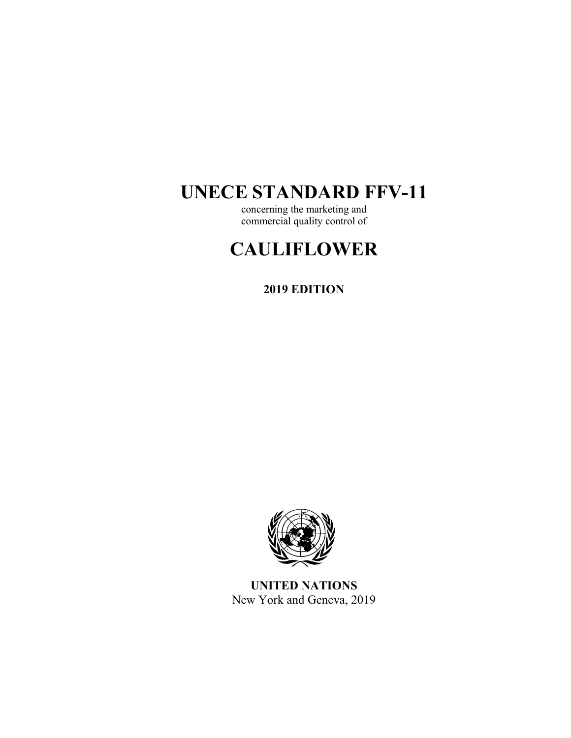## **UNECE STANDARD FFV-11**

concerning the marketing and commercial quality control of

# **CAULIFLOWER**

**2019 EDITION** 



**UNITED NATIONS**  New York and Geneva, 2019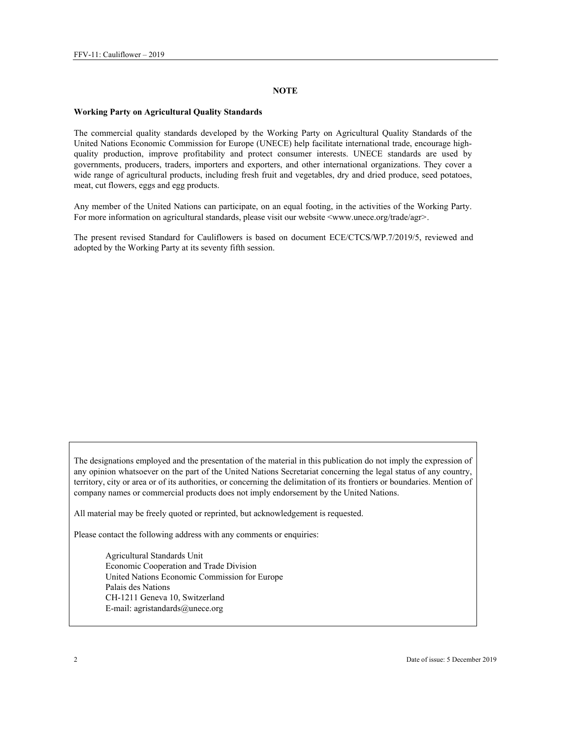#### **NOTE**

#### **Working Party on Agricultural Quality Standards**

The commercial quality standards developed by the Working Party on Agricultural Quality Standards of the United Nations Economic Commission for Europe (UNECE) help facilitate international trade, encourage highquality production, improve profitability and protect consumer interests. UNECE standards are used by governments, producers, traders, importers and exporters, and other international organizations. They cover a wide range of agricultural products, including fresh fruit and vegetables, dry and dried produce, seed potatoes, meat, cut flowers, eggs and egg products.

Any member of the United Nations can participate, on an equal footing, in the activities of the Working Party. For more information on agricultural standards, please visit our website <www.unece.org/trade/agr>.

The present revised Standard for Cauliflowers is based on document ECE/CTCS/WP.7/2019/5, reviewed and adopted by the Working Party at its seventy fifth session.

The designations employed and the presentation of the material in this publication do not imply the expression of any opinion whatsoever on the part of the United Nations Secretariat concerning the legal status of any country, territory, city or area or of its authorities, or concerning the delimitation of its frontiers or boundaries. Mention of company names or commercial products does not imply endorsement by the United Nations.

All material may be freely quoted or reprinted, but acknowledgement is requested.

Please contact the following address with any comments or enquiries:

Agricultural Standards Unit Economic Cooperation and Trade Division United Nations Economic Commission for Europe Palais des Nations CH-1211 Geneva 10, Switzerland E-mail: agristandards@unece.org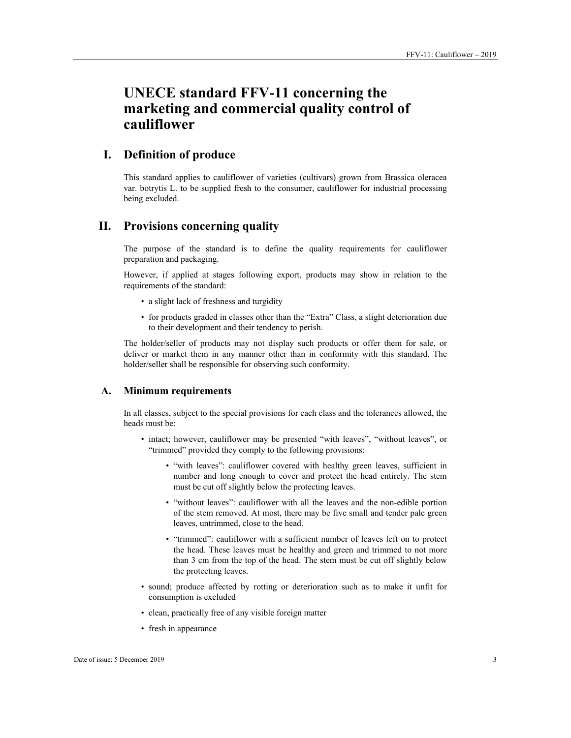## **UNECE standard FFV-11 concerning the marketing and commercial quality control of cauliflower**

## **I. Definition of produce**

This standard applies to cauliflower of varieties (cultivars) grown from Brassica oleracea var. botrytis L. to be supplied fresh to the consumer, cauliflower for industrial processing being excluded.

## **II. Provisions concerning quality**

The purpose of the standard is to define the quality requirements for cauliflower preparation and packaging.

However, if applied at stages following export, products may show in relation to the requirements of the standard:

- a slight lack of freshness and turgidity
- for products graded in classes other than the "Extra" Class, a slight deterioration due to their development and their tendency to perish.

The holder/seller of products may not display such products or offer them for sale, or deliver or market them in any manner other than in conformity with this standard. The holder/seller shall be responsible for observing such conformity.

#### **A. Minimum requirements**

In all classes, subject to the special provisions for each class and the tolerances allowed, the heads must be:

- intact; however, cauliflower may be presented "with leaves", "without leaves", or "trimmed" provided they comply to the following provisions:
	- "with leaves": cauliflower covered with healthy green leaves, sufficient in number and long enough to cover and protect the head entirely. The stem must be cut off slightly below the protecting leaves.
	- "without leaves": cauliflower with all the leaves and the non-edible portion of the stem removed. At most, there may be five small and tender pale green leaves, untrimmed, close to the head.
	- "trimmed": cauliflower with a sufficient number of leaves left on to protect the head. These leaves must be healthy and green and trimmed to not more than 3 cm from the top of the head. The stem must be cut off slightly below the protecting leaves.
- sound; produce affected by rotting or deterioration such as to make it unfit for consumption is excluded
- clean, practically free of any visible foreign matter
- fresh in appearance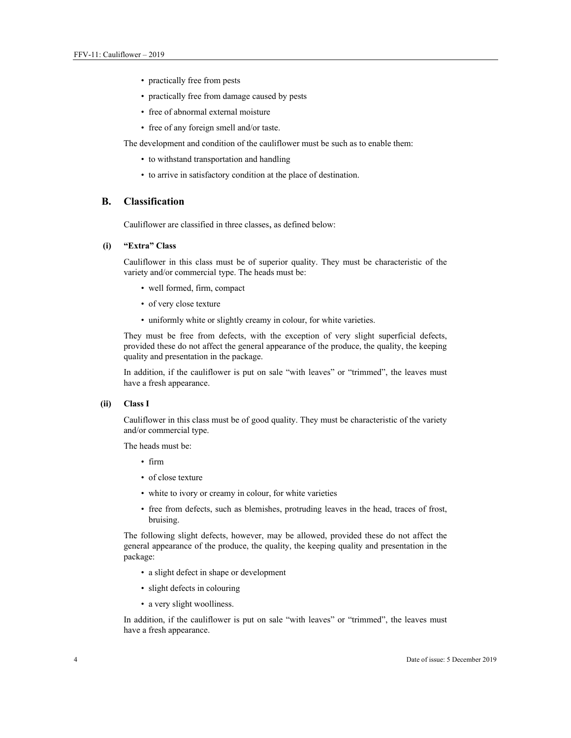- practically free from pests
- practically free from damage caused by pests
- free of abnormal external moisture
- free of any foreign smell and/or taste.

The development and condition of the cauliflower must be such as to enable them:

- to withstand transportation and handling
- to arrive in satisfactory condition at the place of destination.

#### **B. Classification**

Cauliflower are classified in three classes, as defined below:

#### **(i) "Extra" Class**

Cauliflower in this class must be of superior quality. They must be characteristic of the variety and/or commercial type. The heads must be:

- well formed, firm, compact
- of very close texture
- uniformly white or slightly creamy in colour, for white varieties.

They must be free from defects, with the exception of very slight superficial defects, provided these do not affect the general appearance of the produce, the quality, the keeping quality and presentation in the package.

In addition, if the cauliflower is put on sale "with leaves" or "trimmed", the leaves must have a fresh appearance.

#### **(ii) Class I**

Cauliflower in this class must be of good quality. They must be characteristic of the variety and/or commercial type.

The heads must be:

- firm
- of close texture
- white to ivory or creamy in colour, for white varieties
- free from defects, such as blemishes, protruding leaves in the head, traces of frost, bruising.

The following slight defects, however, may be allowed, provided these do not affect the general appearance of the produce, the quality, the keeping quality and presentation in the package:

- a slight defect in shape or development
- slight defects in colouring
- a very slight woolliness.

In addition, if the cauliflower is put on sale "with leaves" or "trimmed", the leaves must have a fresh appearance.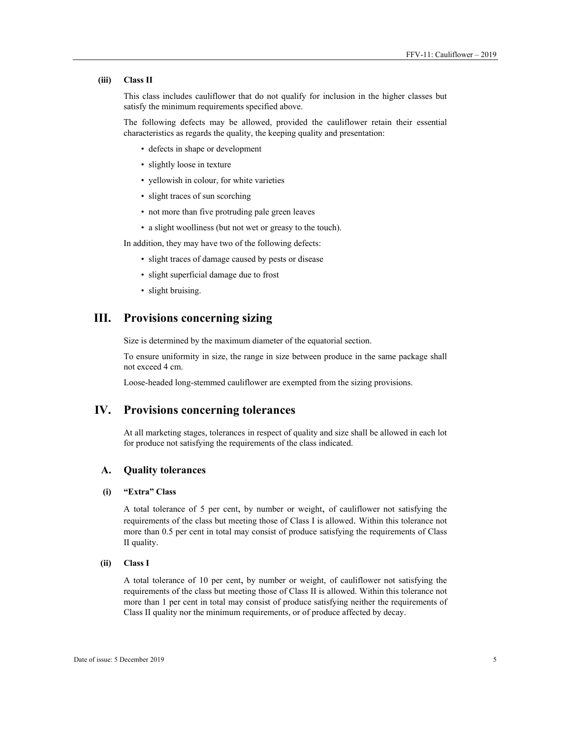#### **(iii) Class II**

This class includes cauliflower that do not qualify for inclusion in the higher classes but satisfy the minimum requirements specified above.

The following defects may be allowed, provided the cauliflower retain their essential characteristics as regards the quality, the keeping quality and presentation:

- defects in shape or development
- slightly loose in texture
- yellowish in colour, for white varieties
- slight traces of sun scorching
- not more than five protruding pale green leaves
- a slight woolliness (but not wet or greasy to the touch).

In addition, they may have two of the following defects:

- slight traces of damage caused by pests or disease
- slight superficial damage due to frost
- slight bruising.

## **III. Provisions concerning sizing**

Size is determined by the maximum diameter of the equatorial section.

To ensure uniformity in size, the range in size between produce in the same package shall not exceed 4 cm.

Loose-headed long-stemmed cauliflower are exempted from the sizing provisions.

## **IV. Provisions concerning tolerances**

At all marketing stages, tolerances in respect of quality and size shall be allowed in each lot for produce not satisfying the requirements of the class indicated.

#### **A. Quality tolerances**

#### **(i) "Extra" Class**

A total tolerance of 5 per cent, by number or weight, of cauliflower not satisfying the requirements of the class but meeting those of Class I is allowed. Within this tolerance not more than 0.5 per cent in total may consist of produce satisfying the requirements of Class II quality.

#### **(ii) Class I**

A total tolerance of 10 per cent, by number or weight, of cauliflower not satisfying the requirements of the class but meeting those of Class II is allowed. Within this tolerance not more than 1 per cent in total may consist of produce satisfying neither the requirements of Class II quality nor the minimum requirements, or of produce affected by decay.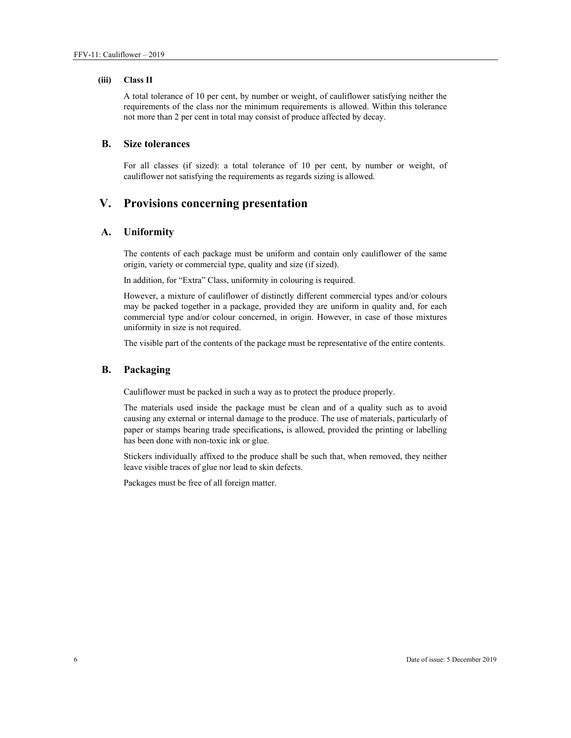#### **(iii) Class II**

A total tolerance of 10 per cent, by number or weight, of cauliflower satisfying neither the requirements of the class nor the minimum requirements is allowed. Within this tolerance not more than 2 per cent in total may consist of produce affected by decay.

### **B. Size tolerances**

For all classes (if sized): a total tolerance of 10 per cent, by number or weight, of cauliflower not satisfying the requirements as regards sizing is allowed.

## **V. Provisions concerning presentation**

#### **A. Uniformity**

The contents of each package must be uniform and contain only cauliflower of the same origin, variety or commercial type, quality and size (if sized).

In addition, for "Extra" Class, uniformity in colouring is required.

However, a mixture of cauliflower of distinctly different commercial types and/or colours may be packed together in a package, provided they are uniform in quality and, for each commercial type and/or colour concerned, in origin. However, in case of those mixtures uniformity in size is not required.

The visible part of the contents of the package must be representative of the entire contents.

#### **B. Packaging**

Cauliflower must be packed in such a way as to protect the produce properly.

The materials used inside the package must be clean and of a quality such as to avoid causing any external or internal damage to the produce. The use of materials, particularly of paper or stamps bearing trade specifications, is allowed, provided the printing or labelling has been done with non-toxic ink or glue.

Stickers individually affixed to the produce shall be such that, when removed, they neither leave visible traces of glue nor lead to skin defects.

Packages must be free of all foreign matter.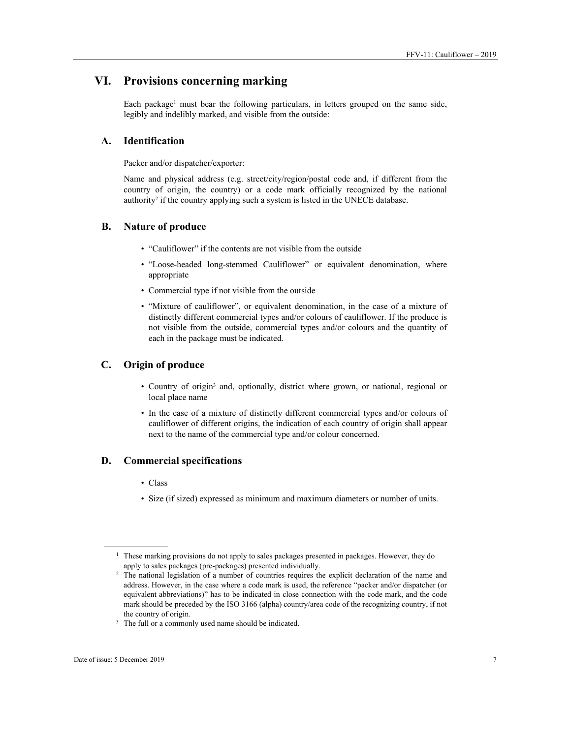## **VI. Provisions concerning marking**

Each package<sup>1</sup> must bear the following particulars, in letters grouped on the same side, legibly and indelibly marked, and visible from the outside:

#### **A. Identification**

Packer and/or dispatcher/exporter:

Name and physical address (e.g. street/city/region/postal code and, if different from the country of origin, the country) or a code mark officially recognized by the national authority<sup>2</sup> if the country applying such a system is listed in the UNECE database.

#### **B. Nature of produce**

- "Cauliflower" if the contents are not visible from the outside
- "Loose-headed long-stemmed Cauliflower" or equivalent denomination, where appropriate
- Commercial type if not visible from the outside
- "Mixture of cauliflower", or equivalent denomination, in the case of a mixture of distinctly different commercial types and/or colours of cauliflower. If the produce is not visible from the outside, commercial types and/or colours and the quantity of each in the package must be indicated.

### **C. Origin of produce**

- Country of origin3 and, optionally, district where grown, or national, regional or local place name
- In the case of a mixture of distinctly different commercial types and/or colours of cauliflower of different origins, the indication of each country of origin shall appear next to the name of the commercial type and/or colour concerned.

#### **D. Commercial specifications**

- Class
- Size (if sized) expressed as minimum and maximum diameters or number of units.

 $\overline{a}$ 

<sup>&</sup>lt;sup>1</sup> These marking provisions do not apply to sales packages presented in packages. However, they do apply to sales packages (pre-packages) presented individually.<br><sup>2</sup> The national legislation of a number of countries requires the explicit declaration of the name and

address. However, in the case where a code mark is used, the reference "packer and/or dispatcher (or equivalent abbreviations)" has to be indicated in close connection with the code mark, and the code mark should be preceded by the ISO 3166 (alpha) country/area code of the recognizing country, if not the country of origin.<br> $3$  The full or a commonly used name should be indicated.